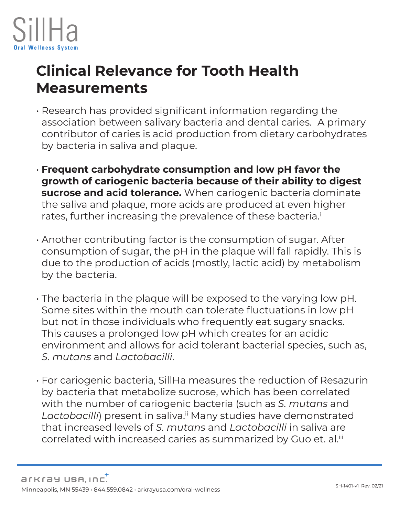

## **Clinical Relevance for Tooth Health Measurements**

- Research has provided significant information regarding the association between salivary bacteria and dental caries. A primary contributor of caries is acid production from dietary carbohydrates by bacteria in saliva and plaque.
- **Frequent carbohydrate consumption and low pH favor the growth of cariogenic bacteria because of their ability to digest sucrose and acid tolerance.** When cariogenic bacteria dominate the saliva and plaque, more acids are produced at even higher rates, further increasing the prevalence of these bacteria.<sup>i</sup>
- Another contributing factor is the consumption of sugar. After consumption of sugar, the pH in the plaque will fall rapidly. This is due to the production of acids (mostly, lactic acid) by metabolism by the bacteria.
- The bacteria in the plaque will be exposed to the varying low pH. Some sites within the mouth can tolerate fluctuations in low pH but not in those individuals who frequently eat sugary snacks. This causes a prolonged low pH which creates for an acidic environment and allows for acid tolerant bacterial species, such as, *S. mutans* and *Lactobacilli*.
- For cariogenic bacteria, SillHa measures the reduction of Resazurin by bacteria that metabolize sucrose, which has been correlated with the number of cariogenic bacteria (such as *S. mutans* and Lactobacilli) present in saliva.<sup>ii</sup> Many studies have demonstrated that increased levels of *S. mutans* and *Lactobacilli* in saliva are correlated with increased caries as summarized by Guo et. al.<sup>iii</sup>